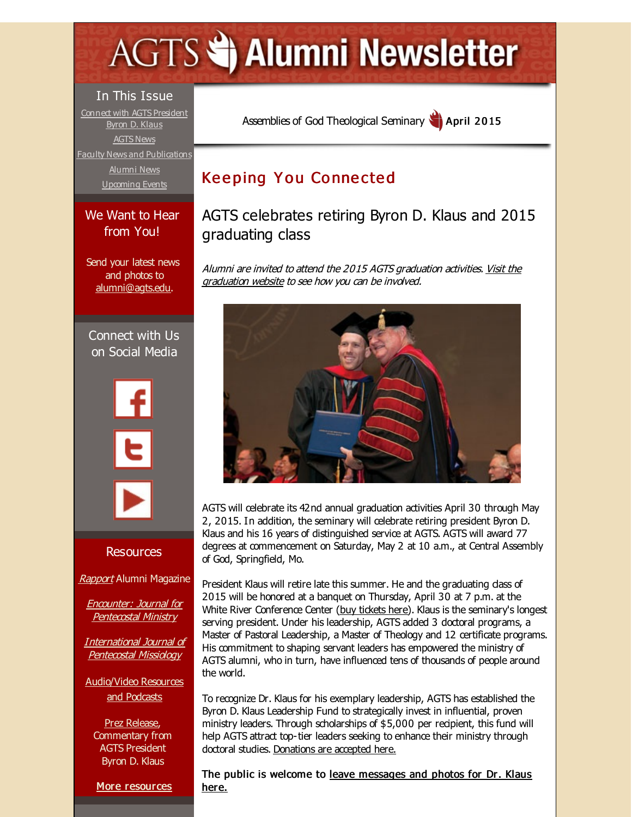# <span id="page-0-0"></span>**AGTS Statement Newsletter**

#### In This Issue

Connect with AGTS [President](#page-0-0) Byron D. Klaus [AGTS](#page-0-0) News Faculty News and [Publications](#page-0-0) [Alumni](#page-0-0) News [Upcoming](#page-0-0) Events

#### We Want to Hear from You!

Send your latest news and photos to [alumni@agts.edu](mailto:alumni@agts.edu).

Connect with Us on Social Media





#### Resources

[Rapport](http://r20.rs6.net/tn.jsp?f=001_DjiuRZ339x-Eeg-GU1rvndurPPpK-trKl_00-tWoOWdGcWHuWM4dorm4z36BR3CWizymEh4qsKb3DZ14I07LYu4I41W4Birl8wHzMoEGMrNwKlZpLhKLT2ho41Sffuhvi2kYHVswK3hnJDYEZcIn7WOVeQDYlaWIMuzUsScmODRnpTfYdxCpqa2U7CZFroq&c=&ch=) Alumni Magazine

Encounter: Journal for [Pentecostal](http://r20.rs6.net/tn.jsp?f=001_DjiuRZ339x-Eeg-GU1rvndurPPpK-trKl_00-tWoOWdGcWHuWM4dgj5EogoV0gjbNmUNIauXV42w5Xo5pC2tIy8ebV13ooxP8BAYgN2T3e2774Sjo7hiEw9mzNpX_ygwaYqQI9hqAGDJZbOS3SVBQD3Orxt9MQrG645Ci6aU4p_USC2StwIgI2iqxX9-BOo&c=&ch=) Ministry

[International](http://r20.rs6.net/tn.jsp?f=001_DjiuRZ339x-Eeg-GU1rvndurPPpK-trKl_00-tWoOWdGcWHuWM4dvi8Rr1fA1SqrwLOAlzkTwzcOcPWLkqHcE3TGHiG4XSJHr4HKfUWz4ZGGEOicjPlgpUU4KS-lScaZFuygba8CCB8XOizCvO4KcsfAou_ePVnwc6ATrFRSY_TC9aJ3wlr7CGeYvsUwZws&c=&ch=) Journal of Pentecostal Missiology

[Audio/Video](http://r20.rs6.net/tn.jsp?f=001_DjiuRZ339x-Eeg-GU1rvndurPPpK-trKl_00-tWoOWdGcWHuWM4dhwd0pbWaI8Ue4vdbRTg4iIstw7cLMvnUSCWgV4GgnGP0hq9x9qnoMhhtkoQT_fsy34YprSj78ZevcbeqTlWJNa86PNvaKUWUvi-Gzno6X4-fP7bUfKCchqUq-mvtp2e8U8-onFnRlVX&c=&ch=) Resources and Podcasts

Prez [Release](http://r20.rs6.net/tn.jsp?f=001_DjiuRZ339x-Eeg-GU1rvndurPPpK-trKl_00-tWoOWdGcWHuWM4dqxA_JeZZxWZYxQrErljpeo9xDZz4pP0eaFbqTmzoFsyzaFsLtrofmx6pG4sL3c5EjAjutSHwT3Z1B6bx42HHx7N0ZbWhfAGEiATsuF8AIi5sTtinzDmkN2oL6fl-9LchNZHZgJA_5DqOV7H_E6iJUQ=&c=&ch=), Commentary from AGTS President Byron D. Klaus

More [resources](http://r20.rs6.net/tn.jsp?f=001_DjiuRZ339x-Eeg-GU1rvndurPPpK-trKl_00-tWoOWdGcWHuWM4dj8bopduoqUJ6h15WWT6mItaB2jKbO3A9c8fLw3Y2JWVr0M4oVBNKq02pkQzug2KXcfgdD_py4G134UIbjQgtQhgdmf7uDOr25tQ2-236Wd9wQhi10DtwQE0zeYetHrKcPD9RYZNQEFcBl3phWWRN8c=&c=&ch=)

Assemblies of God [Theological](http://r20.rs6.net/tn.jsp?f=001_DjiuRZ339x-Eeg-GU1rvndurPPpK-trKl_00-tWoOWdGcWHuWM4drz9q20xz1BuVZFfiJ1i4SPDnAZ3u9ID_eH6vajq_9LxJStAbDLZ41e5Zi_vPXQrPvC_fQR6HzvrPn99VAkJLfUl1F6UtgpOFHOac6SirefE&c=&ch=) Seminary April 2015

# **Keeping You Connected**

AGTS celebrates retiring Byron D. Klaus and 2015 graduating class

Alumni are invited to attend the 2015 AGTS [graduation](http://r20.rs6.net/tn.jsp?f=001_DjiuRZ339x-Eeg-GU1rvndurPPpK-trKl_00-tWoOWdGcWHuWM4ds3F-6YWJHsPrXeJZqU5Kp1L_ryx4sw4PiB6JNY5pNlChUMN-T-dbZ4osAUeXNRB68F06fttMJ6enCh68FaduED7a7jIQvRNB7tYEHIZAvZTJNeyP2wTc0lRwJTHngENWQ==&c=&ch=) activities. Visit the graduation website to see how you can be involved.



AGTS will celebrate its 42nd annual graduation activities April 30 through May 2, 2015. In addition, the seminary will celebrate retiring president Byron D. Klaus and his 16 years of distinguished service at AGTS. AGTS will award 77 degrees at commencement on Saturday, May 2 at 10 a.m., at Central Assembly of God, Springfield, Mo.

President Klaus will retire late this summer. He and the graduating dass of 2015 will be honored at a banquet on Thursday, April 30 at 7 p.m. at the White River Conference Center (buy [tickets](http://r20.rs6.net/tn.jsp?f=001_DjiuRZ339x-Eeg-GU1rvndurPPpK-trKl_00-tWoOWdGcWHuWM4dl5YmRosd6hUA6TUfytW0tCWSJId9cO0xncY14NPGa9MOuWLM5GGOg7jwm2t6XSC5IN98HCwNzIdm_OWm-42xfKsS-c4qDbYhHZCtJWmZPTzeWF4vEwb5dt0ReYN3ohMM80OJGHBI8BF&c=&ch=) here). Klaus is the seminary's longest serving president. Under his leadership, AGTS added 3 doctoral programs, a Master of Pastoral Leadership, a Master of Theology and 12 certificate programs. His commitment to shaping servant leaders has empowered the ministry of AGTS alumni, who in turn, have influenced tens of thousands of people around the world.

To recognize Dr. Klaus for his exemplary leadership, AGTS has established the Byron D. Klaus Leadership Fund to strategically invest in influential, proven ministry leaders. Through scholarships of \$5,000 per recipient, this fund will help AGTS attract top-tier leaders seeking to enhance their ministry through doctoral studies. [Donations](http://r20.rs6.net/tn.jsp?f=001_DjiuRZ339x-Eeg-GU1rvndurPPpK-trKl_00-tWoOWdGcWHuWM4dl5YmRosd6hUslFPn5Cu5H-qSHfJW94nTvKREWndiyswYxQ0fhB1BvYRrXJmXwP0EoXKvu6KivYXsDtxaEnOA60K6z7sJLiSSeIn2fahqRu9sotfiFyp3JwtqsvKcWj8FuwitlQeNh7g&c=&ch=) are accepted here.

The public is welcome to leave [messages](http://r20.rs6.net/tn.jsp?f=001_DjiuRZ339x-Eeg-GU1rvndurPPpK-trKl_00-tWoOWdGcWHuWM4dl5YmRosd6hUDAKvjaBiQHrXlUtr-Gm5BWW6yQudT_rJW88Qg4tmsKb3EI1yJNn-x5IFzZEI-sqvgkqK68FH7RZIv3ngB4edfYEfuAYFflNtcGVAhPc5d3nHyskqSbsul12BIVNG1xdndZwglOvR7Qs=&c=&ch=) and photos for Dr. Klaus here.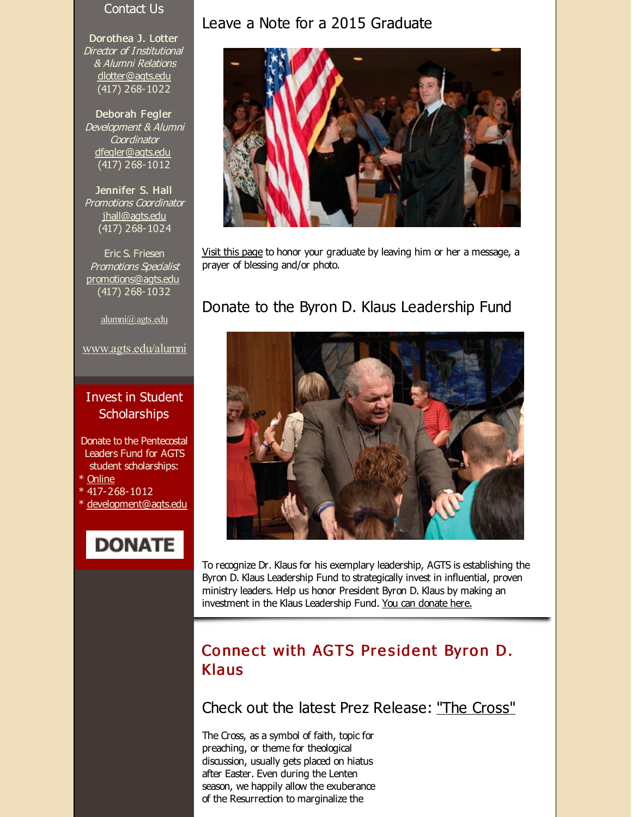#### Contact Us

Dorothea J. Lotter Director of Institutional & Alumni Relations [dlotter@agts.edu](mailto:dlotter@agts.edu) (417) 268-1022

Deborah Fegler Development & Alumni **Coordinator** [dfegler@agts.edu](mailto:dfegler@agts.edu) (417) 268-1012

Jennifer S. Hall Promotions Coordinator [jhall@agts.edu](mailto:jhall@agts.edu) (417) 268-1024

Eric S. Friesen Promotions Specialist [promotions@agts.edu](mailto:promotions@agts.edu) (417) 268-1032

[alumni@agts.edu](mailto:alumni@agts.edu)

#### [www.agts.edu/alumni](http://r20.rs6.net/tn.jsp?f=001_DjiuRZ339x-Eeg-GU1rvndurPPpK-trKl_00-tWoOWdGcWHuWM4dt-3Q-UgBFGsqhGrm--mHJwC0vrLiZqL_Vi0QL39vHdFJVNfqvkN02OtNPHpWZDIUFqSH3v5MhpQCWTkymWR2SYG_KPwODENjeAUqTx0p6-c_3SghKM8jfUFRg6_8neRDQ==&c=&ch=)

#### Invest in Student **Scholarships**

Donate to the Pentecostal Leaders Fund for AGTS student scholarships:

- \* [Online](http://r20.rs6.net/tn.jsp?f=001_DjiuRZ339x-Eeg-GU1rvndurPPpK-trKl_00-tWoOWdGcWHuWM4dk5hNntpdeTmz8tPgIIzk0u9SMqwmr4GhCB2qu7su-mKByTlum38kv-ZV6SxeAipsksxbYKa-JSzbUtitntxz_BDg4ZWPKqTlsJZLFrG_G0Y7-JWB1MbDHXYvlLEADZhPolwSEcn2ug7z-1myg3zFcmI-gQ7vfTl2A==&c=&ch=)
- $*$  417-268-1012
- \* [development@agts.edu](mailto:development@agts.edu)

# **DONATE**

#### Leave a Note for a 2015 Graduate



Visit this [page](http://r20.rs6.net/tn.jsp?f=001_DjiuRZ339x-Eeg-GU1rvndurPPpK-trKl_00-tWoOWdGcWHuWM4dl5YmRosd6hUKLepXvu8uyO14tIE51jUOS6HfAvDY39zdkD6Rkq0bS_ApM0T1Gm4TN0RjjKkotMo1xErFssvzfwGezOlHPNRIl_zbuPYtqNDBOwAQQVNrq11rxdQlnMtijpJY6I1Hl5JcIEuhBSwVH6pclMbOrM73A==&c=&ch=) to honor your graduate by leaving him or her a message, a prayer of blessing and/or photo.

#### Donate to the Byron D. Klaus Leadership Fund



To recognize Dr. Klaus for his exemplary leadership, AGTS is establishing the Byron D. Klaus Leadership Fund to strategically invest in influential, proven ministry leaders. Help us honor President Byron D. Klaus by making an investment in the Klaus Leadership Fund. You can [donate](http://r20.rs6.net/tn.jsp?f=001_DjiuRZ339x-Eeg-GU1rvndurPPpK-trKl_00-tWoOWdGcWHuWM4dl5YmRosd6hUslFPn5Cu5H-qSHfJW94nTvKREWndiyswYxQ0fhB1BvYRrXJmXwP0EoXKvu6KivYXsDtxaEnOA60K6z7sJLiSSeIn2fahqRu9sotfiFyp3JwtqsvKcWj8FuwitlQeNh7g&c=&ch=) here.

# Connect with AGTS President Byron D. Klaus

Check out the latest Prez Release: "The [Cross"](http://r20.rs6.net/tn.jsp?f=001_DjiuRZ339x-Eeg-GU1rvndurPPpK-trKl_00-tWoOWdGcWHuWM4dio4viYSmY8lA57_UqeSnRm5z4U6-j6cq4i-hswVQyOTcCAQ015_IR4CDnYeYLCxs06HP1WGlyUv0WVbmf3qC9pugvCvgrvJ5QlZfxbgmrp8s6tHPGDE5Y9QbqrIrU5CV_OPhQiVV6KO4M-mTNHVsENFe_aLt0B5PFgMl-0_zuHFpT-oW7wfXyzwx44aj4bPFXhZwYmpqQ7_&c=&ch=)

The Cross, as a symbol of faith, topic for preaching, or theme for theological discussion, usually gets placed on hiatus after Easter. Even during the Lenten season, we happily allow the exuberance of the Resurrection to marginalize the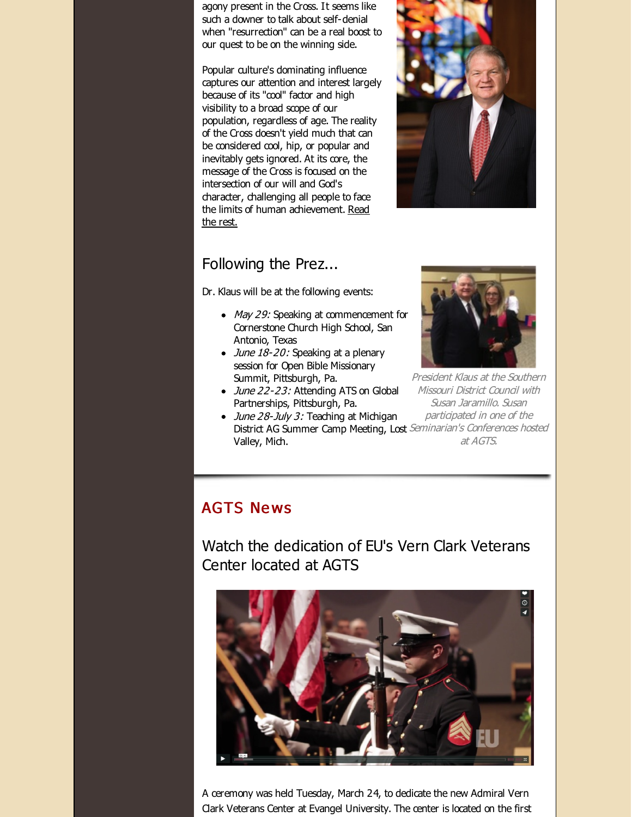agony present in the Cross. It seems like such a downer to talk about self-denial when "resurrection" can be a real boost to our quest to be on the winning side.

Popular culture's dominating influence captures our attention and interest largely because of its "cool" factor and high visibility to a broad scope of our population, regardless of age. The reality of the Cross doesn't yield much that can be considered cool, hip, or popular and inevitably gets ignored. At its core, the message of the Cross is focused on the intersection of our will and God's character, challenging all people to face the limits of human [achievement.](http://r20.rs6.net/tn.jsp?f=001_DjiuRZ339x-Eeg-GU1rvndurPPpK-trKl_00-tWoOWdGcWHuWM4dio4viYSmY8lA57_UqeSnRm5z4U6-j6cq4i-hswVQyOTcCAQ015_IR4CDnYeYLCxs06HP1WGlyUv0WVbmf3qC9pugvCvgrvJ5QlZfxbgmrp8s6tHPGDE5Y9QbqrIrU5CV_OPhQiVV6KO4M-mTNHVsENFe_aLt0B5PFgMl-0_zuHFpT-oW7wfXyzwx44aj4bPFXhZwYmpqQ7_&c=&ch=) Read the rest.



### Following the Prez...

Dr. Klaus will be at the following events:

- May 29: Speaking at commencement for Cornerstone Church High School, San Antonio, Texas
- $\bullet$  *June 18-20:* Speaking at a plenary session for Open Bible Missionary Summit, Pittsburgh, Pa.
- June 22-23: Attending ATS on Global Partnerships, Pittsburgh, Pa.
- participated in one of the District AG Summer Camp Meeting, Lost Seminarian's Conferences hosted at AGTS. • June 28-July 3: Teaching at Michigan Valley, Mich.

President Klaus at the Southern Missouri District Council with Susan Jaramillo. Susan

# **AGTS News**

Watch the dedication of EU's Vern Clark Veterans Center located at AGTS



A ceremony was held Tuesday, March 24, to dedicate the new Admiral Vern Clark Veterans Center at Evangel University. The center is located on the first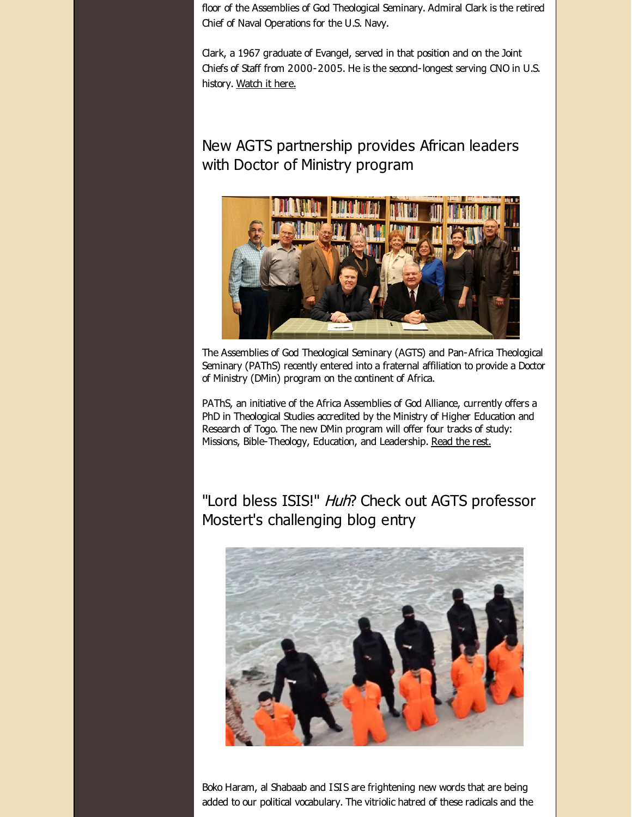floor of the Assemblies of God Theological Seminary. Admiral Clark is the retired Chief of Naval Operations for the U.S. Navy.

Clark, a 1967 graduate of Evangel, served in that position and on the Joint Chiefs of Staff from 2000-2005. He is the second-longest serving CNO in U.S. history. [Watch](http://r20.rs6.net/tn.jsp?f=001_DjiuRZ339x-Eeg-GU1rvndurPPpK-trKl_00-tWoOWdGcWHuWM4dk1__uLcjZFZxUcKftxXZy0TqnDl8vXQv2Ql_6ECL3AOlhar7A_HAl07CMv_4GEcgBLPAptHjuyO32HqPMCovgC5MuQ4P1eFNlcw77_4Jv0ctvN8k-SlGO00FXDzHNhuaUjfS1osCzBC0h8ORON9aAw63gfK5hdw67xxwvdp6D6PO1bkC3uXAuvRPsvU2vnqpA==&c=&ch=) it here.

New AGTS partnership provides African leaders with Doctor of Ministry program



The Assemblies of God Theological Seminary (AGTS) and Pan-Africa Theological Seminary (PAThS) recently entered into a fraternal affiliation to provide a Doctor of Ministry (DMin) program on the continent of Africa.

PAThS, an initiative of the Africa Assemblies of God Alliance, currently offers a PhD in Theological Studies accredited by the Ministry of Higher Education and Research of Togo. The new DMin program will offer four tracks of study: Missions, Bible-Theology, Education, and Leadership. [Read](http://r20.rs6.net/tn.jsp?f=001_DjiuRZ339x-Eeg-GU1rvndurPPpK-trKl_00-tWoOWdGcWHuWM4dqwxuJbWA9B_I-lH0yQaOmAvNUp1TUIm0wYYgTH-44ch__49gIRV3d2XAeKVNkE6k4U4Cu9Ky6H0fizh5iHDtPK6LxN7XVN2P5Wa9TN95zNE5-dxf-Slecih-YKXZQhDmiwF0q84L1Jaaa6iOWMstioI9GG6cc0e2XIwlbv_tjX8HenDT4-37DTMNqwf5CylDRnFsqLfQ_glSt1T9kdVM3IMsGDZgvRAu81EnK-EDDMz&c=&ch=) the rest.

"Lord bless ISIS!" Huh? Check out AGTS professor Mostert's challenging blog entry



Boko Haram, al Shabaab and ISIS are frightening new words that are being added to our political vocabulary. The vitriolic hatred of these radicals and the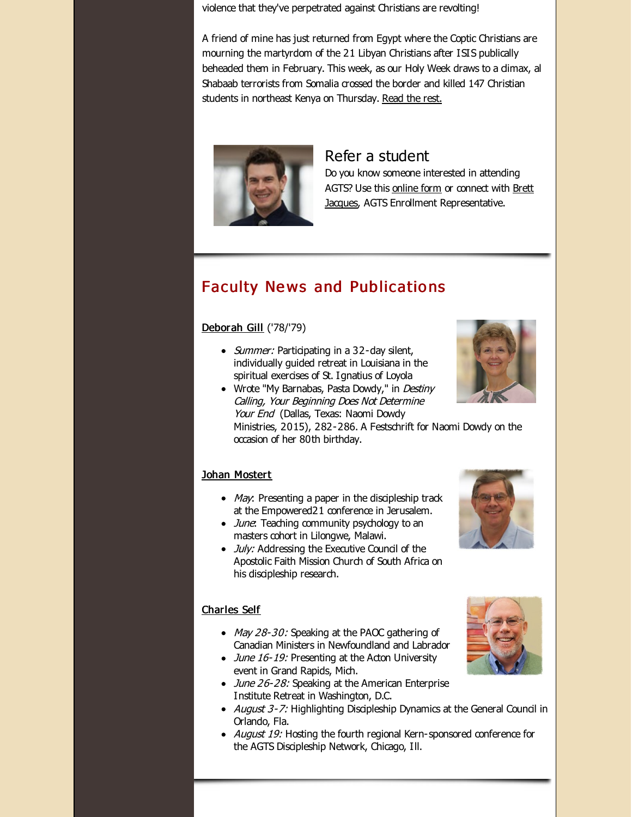violence that they've perpetrated against Christians are revolting!

A friend of mine has just returned from Egypt where the Coptic Christians are mourning the martyrdom of the 21 Libyan Christians after ISIS publically beheaded them in February. This week, as our Holy Week draws to a dimax, al Shabaab terrorists from Somalia crossed the border and killed 147 Christian students in northeast Kenya on Thursday. [Read](http://r20.rs6.net/tn.jsp?f=001_DjiuRZ339x-Eeg-GU1rvndurPPpK-trKl_00-tWoOWdGcWHuWM4dqwxuJbWA9B_pNnhU8tgiCr5E4ekl0tCkuNe3HDskWySvaaq72TBMoYnORyKfjUi4HvVQT4kMt5pXbRPy3vazMZLBWmHl6W1o5-qI2wd0CYG140-0YrMtS4q3R327wLfoMz0MNq67WSQg2a4JwJbvALp_o0rKKDIoA==&c=&ch=) the rest.



#### Refer a student

Do you know someone interested in attending AGTS? Use this [online](http://r20.rs6.net/tn.jsp?f=001_DjiuRZ339x-Eeg-GU1rvndurPPpK-trKl_00-tWoOWdGcWHuWM4dtMS8Fptl_LVYaMTv1Gc4Vv4dBTyI123tfBsHUwx7OEIcOi3otkVS1vCLs-PYLks6bvx0iGtr5kvW18vfa3qkY7b2NB7RgZgh2WM2dycE8iJcgZM1i0ItQt5cxnaQFuoHKpfMz45NQPk&c=&ch=) form or connect with Brett Jacques, AGTS Enrollment [Representative.](mailto:jacquesb@evangel.edu)

# **Faculty News and Publications**

#### [Deborah](http://r20.rs6.net/tn.jsp?f=001_DjiuRZ339x-Eeg-GU1rvndurPPpK-trKl_00-tWoOWdGcWHuWM4dqvpUfGC28SXBHI6_qJ68WEbXr9zYmrIEMWjmHseq5FZiwefbT3p-i4sMAHrschQILBYeOyEaQlmDjkyxg_DrqmvYjSQIY9Qg44Lmp_i8Kjv2aXRNDw3ikpsblQELZSnksp2VuEvcPCg&c=&ch=) Gill ('78/'79)

• Summer: Participating in a 32-day silent, individually guided retreat in Louisiana in the spiritual exercises of St. I gnatius of Loyola



• Wrote "My Barnabas, Pasta Dowdy," in Destiny Calling, Your Beginning Does Not Determine Your End (Dallas, Texas: Naomi Dowdy Ministries, 2015), 282-286. A Festschrift for Naomi Dowdy on the occasion of her 80th birthday.

#### Johan [Mostert](http://r20.rs6.net/tn.jsp?f=001_DjiuRZ339x-Eeg-GU1rvndurPPpK-trKl_00-tWoOWdGcWHuWM4dqvqeBVd62bID4GEGOjcalrNif8pw8dlzQ4jlfV0JRah-8dtj-PZoyrV62qzxpwQkH7rCjcNlbdLFpNg3Z4To_cJI5tCJElBWd0VCsxAf0SqY1qQkQo660chTXR3KeKfzg3LwVvWlWkJnbSBI2U4gvI=&c=&ch=)

- $\bullet$  *May*: Presenting a paper in the discipleship track at the Empowered21 conference in Jerusalem.
- June: Teaching community psychology to an masters cohort in Lilongwe, Malawi.
- *July:* Addressing the Executive Council of the Apostolic Faith Mission Church of South Africa on his discipleship research.



#### [Charles](http://r20.rs6.net/tn.jsp?f=001_DjiuRZ339x-Eeg-GU1rvndurPPpK-trKl_00-tWoOWdGcWHuWM4dqwxuJbWA9B_gOf7NueMEhV4HCd_OxqzmO6eVtyaJTYJ8tN8ZuSjIx_qGY_afjE9uvb7JvZKKveQtlhs8HZzdeZPLC8KFtrWbwjhHbP-SmDlYjbm8D_NdvV-PZcUj3mpuXE5KiidYycj&c=&ch=) Self

- May 28-30: Speaking at the PAOC gathering of Canadian Ministers in Newfoundland and Labrador
- June 16-19: Presenting at the Acton University event in Grand Rapids, Mich.
- June 26-28: Speaking at the American Enterprise Institute Retreat in Washington, D.C.
- August 3-7: Highlighting Discipleship Dynamics at the General Council in Orlando, Fla.
- August 19: Hosting the fourth regional Kern-sponsored conference for the AGTS Discipleship Network, Chicago, Ill.

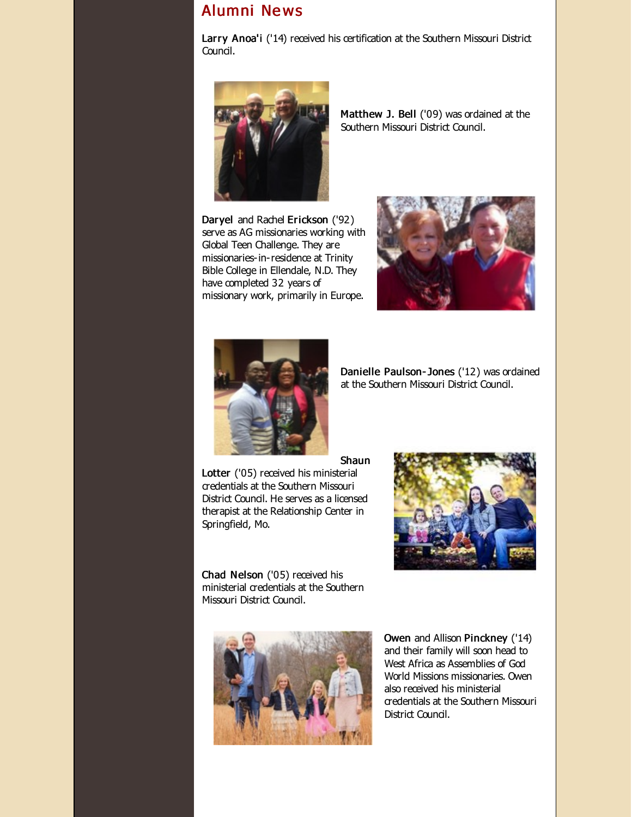# Alumni Ne ws

Larry Anoa'i ('14) received his certification at the Southern Missouri District Council.



Matthew J. Bell ('09) was ordained at the Southern Missouri District Council.

Daryel and Rachel Erickson ('92) serve as AG missionaries working with Global Teen Challenge. They are missionaries-in-residence at Trinity Bible College in Ellendale, N.D. They have completed 32 years of missionary work, primarily in Europe.





Danielle Paulson- Jones ('12) was ordained at the Southern Missouri District Council.

Shaun

Lotter ('05) received his ministerial credentials at the Southern Missouri District Council. He serves as a licensed therapist at the Relationship Center in Springfield, Mo.



Chad Nelson ('05) received his ministerial credentials at the Southern Missouri District Council.



Owen and Allison Pinckney ('14) and their family will soon head to West Africa as Assemblies of God World Missions missionaries. Owen also received his ministerial credentials at the Southern Missouri District Council.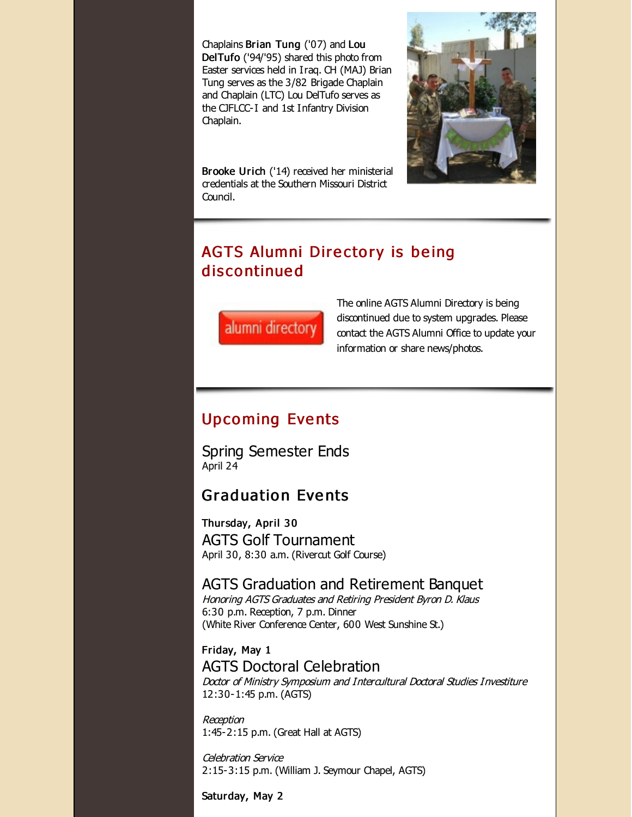Chaplains Brian Tung ('07) and Lou DelTufo ('94/'95) shared this photo from Easter services held in Iraq. CH (MAJ) Brian Tung serves as the 3/82 Brigade Chaplain and Chaplain (LTC) Lou DelTufo serves as the CJFLCC-I and 1st Infantry Division Chaplain.



Brooke Urich ('14) received her ministerial credentials at the Southern Missouri District Council.

# AGTS Alumni Directory is being dis co ntinue d



The online AGTS Alumni Directory is being discontinued due to system upgrades. Please contact the AGTS Alumni Office to update your information or share news/photos.

# **Upcoming Events**

Spring Semester Ends April 24

# **Graduation Events**

Thursday, April 30 AGTS Golf Tournament April 30, 8:30 a.m. (Rivercut Golf Course)

## AGTS Graduation and Retirement Banquet

Honoring AGTS Graduates and Retiring President Byron D. Klaus 6:30 p.m. Reception, 7 p.m. Dinner (White River Conference Center, 600 West Sunshine St.)

Friday, May 1 AGTS Doctoral Celebration Doctor of Ministry Symposium and Intercultural Doctoral Studies Investiture 12:30-1:45 p.m. (AGTS)

Reception 1:45-2:15 p.m. (Great Hall at AGTS)

Celebration Service 2:15-3:15 p.m. (William J. Seymour Chapel, AGTS)

Saturday, May 2